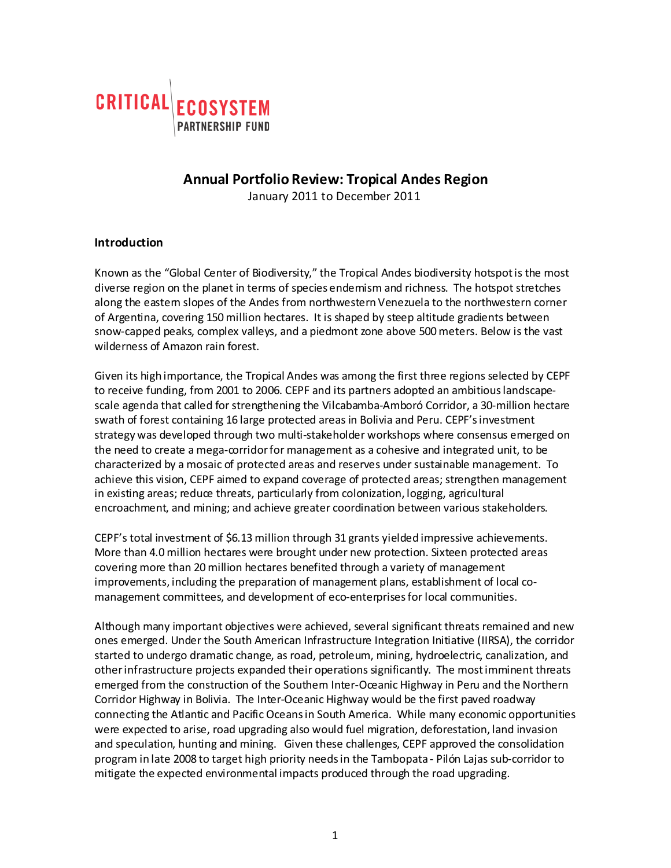

# **Annual Portfolio Review: Tropical Andes Region**

January 2011 to December 2011

### **Introduction**

Known as the "Global Center of Biodiversity," the Tropical Andes biodiversity hotspot is the most diverse region on the planet in terms of species endemism and richness. The hotspot stretches along the eastern slopes of the Andes from northwestern Venezuela to the northwestern corner of Argentina, covering 150 million hectares. It is shaped by steep altitude gradients between snow-capped peaks, complex valleys, and a piedmont zone above 500 meters. Below is the vast wilderness of Amazon rain forest.

Given its high importance, the Tropical Andes was among the first three regions selected by CEPF to receive funding, from 2001 to 2006. CEPF and its partners adopted an ambitious landscapescale agenda that called for strengthening the Vilcabamba-Amboró Corridor, a 30-million hectare swath of forest containing 16 large protected areas in Bolivia and Peru. CEPF's investment strategy was developed through two multi-stakeholder workshops where consensus emerged on the need to create a mega-corridor for management as a cohesive and integrated unit, to be characterized by a mosaic of protected areas and reserves under sustainable management. To achieve this vision, CEPF aimed to expand coverage of protected areas; strengthen management in existing areas; reduce threats, particularly from colonization, logging, agricultural encroachment, and mining; and achieve greater coordination between various stakeholders.

CEPF's total investment of \$6.13 million through 31 grants yielded impressive achievements. More than 4.0 million hectares were brought under new protection. Sixteen protected areas covering more than 20 million hectares benefited through a variety of management improvements, including the preparation of management plans, establishment of local comanagement committees, and development of eco-enterprises for local communities.

Although many important objectives were achieved, several significant threats remained and new ones emerged. Under the South American Infrastructure Integration Initiative (IIRSA), the corridor started to undergo dramatic change, as road, petroleum, mining, hydroelectric, canalization, and other infrastructure projects expanded their operations significantly. The most imminent threats emerged from the construction of the Southern Inter-Oceanic Highway in Peru and the Northern Corridor Highway in Bolivia. The Inter-Oceanic Highway would be the first paved roadway connecting the Atlantic and Pacific Oceans in South America. While many economic opportunities were expected to arise, road upgrading also would fuel migration, deforestation, land invasion and speculation, hunting and mining. Given these challenges, CEPF approved the consolidation program in late 2008 to target high priority needs in the Tambopata - Pilón Lajas sub-corridor to mitigate the expected environmental impacts produced through the road upgrading.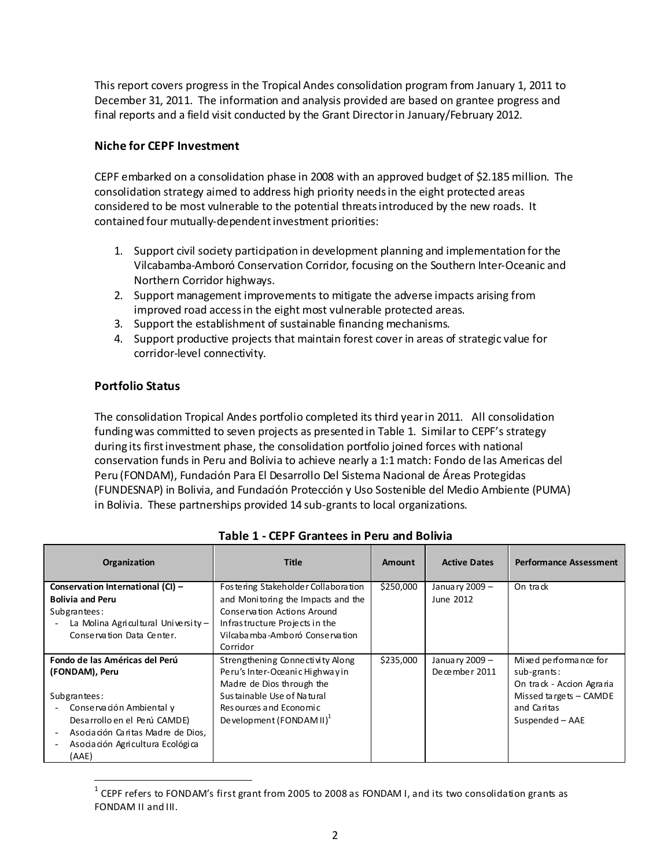This report covers progress in the Tropical Andes consolidation program from January 1, 2011 to December 31, 2011. The information and analysis provided are based on grantee progress and final reports and a field visit conducted by the Grant Director in January/February 2012.

### **Niche for CEPF Investment**

CEPF embarked on a consolidation phase in 2008 with an approved budget of \$2.185 million. The consolidation strategy aimed to address high priority needs in the eight protected areas considered to be most vulnerable to the potential threats introduced by the new roads. It contained four mutually-dependent investment priorities:

- 1. Support civil society participation in development planning and implementation for the Vilcabamba-Amboró Conservation Corridor, focusing on the Southern Inter-Oceanic and Northern Corridor highways.
- 2. Support management improvements to mitigate the adverse impacts arising from improved road access in the eight most vulnerable protected areas.
- 3. Support the establishment of sustainable financing mechanisms.
- 4. Support productive projects that maintain forest cover in areas of strategic value for corridor-level connectivity.

### **Portfolio Status**

The consolidation Tropical Andes portfolio completed its third year in 2011. All consolidation funding was committed to seven projects as presented in Table 1. Similar to CEPF's strategy during its first investment phase, the consolidation portfolio joined forces with national conservation funds in Peru and Bolivia to achieve nearly a 1:1 match: Fondo de las Americas del Peru (FONDAM), Fundación Para El Desarrollo Del Sistema Nacional de Áreas Protegidas (FUNDESNAP) in Bolivia, and Fundación Protección y Uso Sostenible del Medio Ambiente (PUMA) in Bolivia. These partnerships provided 14 sub-grants to local organizations.

| Organization                                                                                                                                                                                                                                                           | <b>Title</b>                                                                                                                                                                             | Amount    | <b>Active Dates</b>             | <b>Performance Assessment</b>                                                                                                      |
|------------------------------------------------------------------------------------------------------------------------------------------------------------------------------------------------------------------------------------------------------------------------|------------------------------------------------------------------------------------------------------------------------------------------------------------------------------------------|-----------|---------------------------------|------------------------------------------------------------------------------------------------------------------------------------|
| Conservation International (CI) -<br><b>Bolivia and Peru</b><br>Subgrantees:<br>La Molina Agricultural University $-$<br>Conservation Data Center.                                                                                                                     | Fostering Stakeholder Collaboration<br>and Monitoring the Impacts and the<br>Conservation Actions Around<br>Infrastructure Projects in the<br>Vilcabamba-Amboró Conservation<br>Corridor | \$250,000 | January 2009 -<br>June 2012     | On track                                                                                                                           |
| Fondo de las Américas del Perú<br>(FONDAM), Peru<br>Subgrantees:<br>Conservación Ambiental y<br>$\overline{\phantom{a}}$<br>Desarrollo en el Perú CAMDE)<br>Asociación Caritas Madre de Dios,<br>Asociación Agricultura Ecológica<br>$\overline{\phantom{a}}$<br>(AAE) | Strengthening Connectivity Along<br>Peru's Inter-Oceanic Highway in<br>Madre de Dios through the<br>Sustainable Use of Natural<br>Resources and Economic<br>Development $(FONDAMII)^T$   | \$235,000 | January 2009 -<br>December 2011 | Mixed performance for<br>sub-grants:<br>On track - Accion Agraria<br>Missed targets $-$ CAMDE<br>and Caritas<br>$S$ uspended – AAE |

# **Table 1 - CEPF Grantees in Peru and Bolivia**

 $1$  CEPF refers to FONDAM's first grant from 2005 to 2008 as FONDAM I, and its two consolidation grants as FONDAM II and III.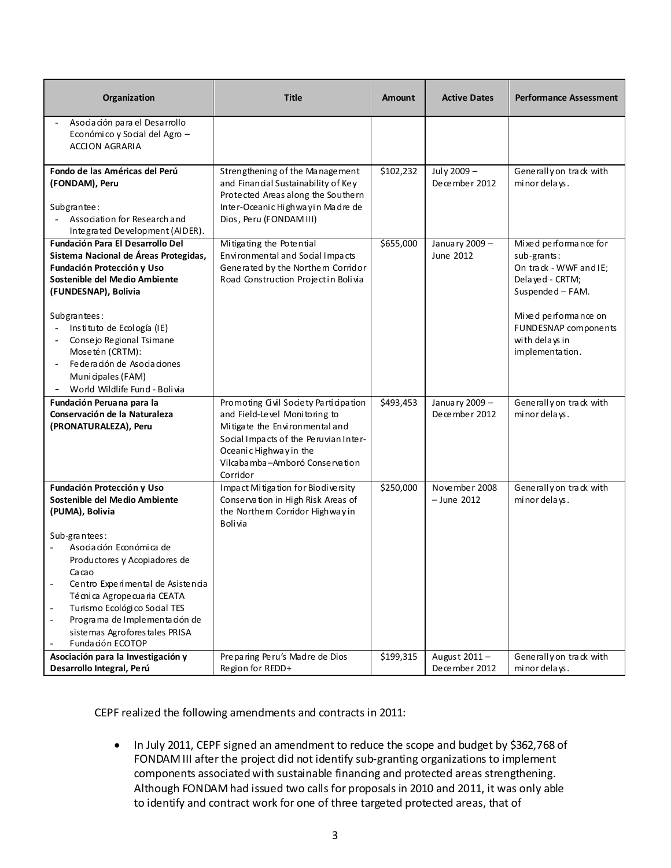| Organization                                                                                                                                                                                                                                                                                                                                                                                                         | <b>Title</b>                                                                                                                                                                                                             | <b>Amount</b> | <b>Active Dates</b>             | <b>Performance Assessment</b>                                                                                                                                                              |
|----------------------------------------------------------------------------------------------------------------------------------------------------------------------------------------------------------------------------------------------------------------------------------------------------------------------------------------------------------------------------------------------------------------------|--------------------------------------------------------------------------------------------------------------------------------------------------------------------------------------------------------------------------|---------------|---------------------------------|--------------------------------------------------------------------------------------------------------------------------------------------------------------------------------------------|
| Asociación para el Desarrollo<br>Económico y Social del Agro -<br><b>ACCION AGRARIA</b>                                                                                                                                                                                                                                                                                                                              |                                                                                                                                                                                                                          |               |                                 |                                                                                                                                                                                            |
| Fondo de las Américas del Perú<br>(FONDAM), Peru<br>Subgrantee:<br>Association for Research and<br>Integrated Development (AIDER).                                                                                                                                                                                                                                                                                   | Strengthening of the Management<br>and Financial Sustainability of Key<br>Protected Areas along the Southern<br>Inter-Oceanic Highwayin Madre de<br>Dios, Peru (FONDAM III)                                              | \$102,232     | July 2009 -<br>December 2012    | Generally on track with<br>minor delays.                                                                                                                                                   |
| Fundación Para El Desarrollo Del<br>Sistema Nacional de Áreas Protegidas,<br>Fundación Protección y Uso<br>Sostenible del Medio Ambiente<br>(FUNDESNAP), Bolivia<br>Subgrantees:<br>Instituto de Ecología (IE)<br>Consejo Regional Tsimane<br>Mosetén (CRTM):<br>Federación de Asociaciones<br>Municipales (FAM)<br>World Wildlife Fund - Bolivia                                                                    | Mitigating the Potential<br>Environmental and Social Impacts<br>Generated by the Northem Corridor<br>Road Construction Projectin Bolivia                                                                                 | \$655,000     | January 2009 -<br>June 2012     | Mixed performance for<br>sub-grants:<br>On track - WWF and IE;<br>Delayed - CRTM;<br>Suspended - FAM.<br>Mixed performance on<br>FUNDESNAP components<br>with delays in<br>implementation. |
| Fundación Peruana para la<br>Conservación de la Naturaleza<br>(PRONATURALEZA), Peru                                                                                                                                                                                                                                                                                                                                  | Promoting Gvil Society Participation<br>and Field-Level Monitoring to<br>Mitigate the Environmental and<br>Social Impacts of the Peruvian Inter-<br>Oceanic Highway in the<br>Vilcabamba-Amboró Conservation<br>Corridor | \$493,453     | January 2009 -<br>December 2012 | Generally on track with<br>minor delays.                                                                                                                                                   |
| Fundación Protección y Uso<br>Sostenible del Medio Ambiente<br>(PUMA), Bolivia<br>Sub-grantees:<br>Asociación Económica de<br>Productores y Acopiadores de<br>Cacao<br>Centro Experimental de Asistencia<br>$\overline{\phantom{a}}$<br>Técnica Agropecuaria CEATA<br>Turismo Ecológico Social TES<br>$\overline{\phantom{a}}$<br>Programa de Implementación de<br>sistemas Agroforestales PRISA<br>Fundación ECOTOP | Impact Mitigation for Biodiversity<br>Conservation in High Risk Areas of<br>the Northem Corridor Highwayin<br>Bolivia                                                                                                    | \$250,000     | November 2008<br>$-$ June 2012  | Generally on track with<br>minor delays.                                                                                                                                                   |
| Asociación para la Investigación y<br>Desarrollo Integral, Perú                                                                                                                                                                                                                                                                                                                                                      | Preparing Peru's Madre de Dios<br>Region for REDD+                                                                                                                                                                       | \$199,315     | August 2011-<br>December 2012   | Generally on track with<br>minor delays.                                                                                                                                                   |

CEPF realized the following amendments and contracts in 2011:

• In July 2011, CEPF signed an amendment to reduce the scope and budget by \$362,768 of FONDAM III after the project did not identify sub-granting organizations to implement components associated with sustainable financing and protected areas strengthening. Although FONDAM had issued two calls for proposals in 2010 and 2011, it was only able to identify and contract work for one of three targeted protected areas, that of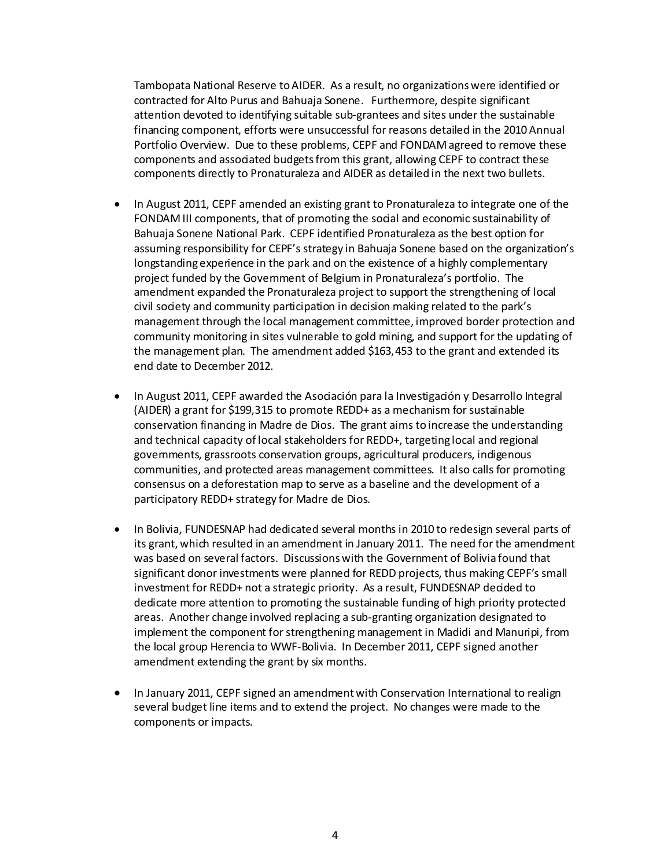Tambopata National Reserve to AIDER. As a result, no organizations were identified or contracted for Alto Purus and Bahuaja Sonene. Furthermore, despite significant attention devoted to identifying suitable sub-grantees and sites under the sustainable financing component, efforts were unsuccessful for reasons detailed in the 2010 Annual Portfolio Overview. Due to these problems, CEPF and FONDAM agreed to remove these components and associated budgets from this grant, allowing CEPF to contract these components directly to Pronaturaleza and AIDER as detailed in the next two bullets.

- In August 2011, CEPF amended an existing grant to Pronaturaleza to integrate one of the FONDAM III components, that of promoting the social and economic sustainability of Bahuaja Sonene National Park. CEPF identified Pronaturaleza as the best option for assuming responsibility for CEPF's strategy in Bahuaja Sonene based on the organization's longstanding experience in the park and on the existence of a highly complementary project funded by the Government of Belgium in Pronaturaleza's portfolio. The amendment expanded the Pronaturaleza project to support the strengthening of local civil society and community participation in decision making related to the park's management through the local management committee, improved border protection and community monitoring in sites vulnerable to gold mining, and support for the updating of the management plan. The amendment added \$163,453 to the grant and extended its end date to December 2012.
- In August 2011, CEPF awarded the Asociación para la Investigación y Desarrollo Integral (AIDER) a grant for \$199,315 to promote REDD+ as a mechanism for sustainable conservation financing in Madre de Dios. The grant aims to increase the understanding and technical capacity of local stakeholders for REDD+, targeting local and regional governments, grassroots conservation groups, agricultural producers, indigenous communities, and protected areas management committees. It also calls for promoting consensus on a deforestation map to serve as a baseline and the development of a participatory REDD+ strategy for Madre de Dios.
- In Bolivia, FUNDESNAP had dedicated several months in 2010 to redesign several parts of its grant, which resulted in an amendment in January 2011. The need for the amendment was based on several factors. Discussions with the Government of Bolivia found that significant donor investments were planned for REDD projects, thus making CEPF's small investment for REDD+ not a strategic priority. As a result, FUNDESNAP decided to dedicate more attention to promoting the sustainable funding of high priority protected areas. Another change involved replacing a sub-granting organization designated to implement the component for strengthening management in Madidi and Manuripi, from the local group Herencia to WWF-Bolivia. In December 2011, CEPF signed another amendment extending the grant by six months.
- In January 2011, CEPF signed an amendment with Conservation International to realign several budget line items and to extend the project. No changes were made to the components or impacts.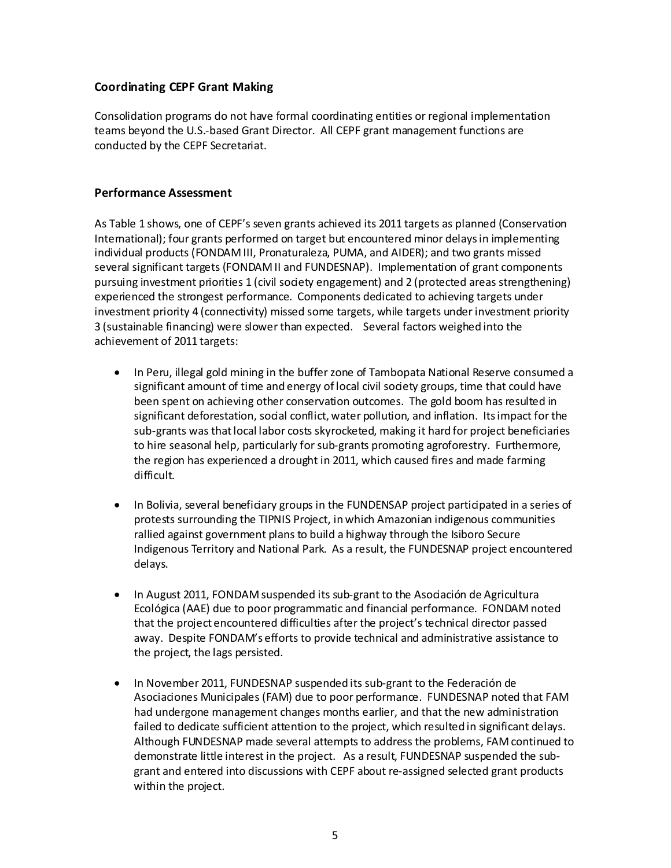### **Coordinating CEPF Grant Making**

Consolidation programs do not have formal coordinating entities or regional implementation teams beyond the U.S.-based Grant Director. All CEPF grant management functions are conducted by the CEPF Secretariat.

### **Performance Assessment**

As Table 1 shows, one of CEPF's seven grants achieved its 2011 targets as planned (Conservation International); four grants performed on target but encountered minor delays in implementing individual products (FONDAM III, Pronaturaleza, PUMA, and AIDER); and two grants missed several significant targets (FONDAM II and FUNDESNAP). Implementation of grant components pursuing investment priorities 1 (civil society engagement) and 2 (protected areas strengthening) experienced the strongest performance. Components dedicated to achieving targets under investment priority 4 (connectivity) missed some targets, while targets under investment priority 3 (sustainable financing) were slower than expected. Several factors weighed into the achievement of 2011 targets:

- In Peru, illegal gold mining in the buffer zone of Tambopata National Reserve consumed a significant amount of time and energy of local civil society groups, time that could have been spent on achieving other conservation outcomes. The gold boom has resulted in significant deforestation, social conflict, water pollution, and inflation. Its impact for the sub-grants was that local labor costs skyrocketed, making it hard for project beneficiaries to hire seasonal help, particularly for sub-grants promoting agroforestry. Furthermore, the region has experienced a drought in 2011, which caused fires and made farming difficult.
- In Bolivia, several beneficiary groups in the FUNDENSAP project participated in a series of protests surrounding the TIPNIS Project, in which Amazonian indigenous communities rallied against government plans to build a highway through the Isiboro Secure Indigenous Territory and National Park. As a result, the FUNDESNAP project encountered delays.
- In August 2011, FONDAM suspended its sub-grant to the Asociación de Agricultura Ecológica (AAE) due to poor programmatic and financial performance. FONDAM noted that the project encountered difficulties after the project's technical director passed away. Despite FONDAM's efforts to provide technical and administrative assistance to the project, the lags persisted.
- In November 2011, FUNDESNAP suspended its sub-grant to the Federación de Asociaciones Municipales (FAM) due to poor performance. FUNDESNAP noted that FAM had undergone management changes months earlier, and that the new administration failed to dedicate sufficient attention to the project, which resulted in significant delays. Although FUNDESNAP made several attempts to address the problems, FAM continued to demonstrate little interest in the project. As a result, FUNDESNAP suspended the subgrant and entered into discussions with CEPF about re-assigned selected grant products within the project.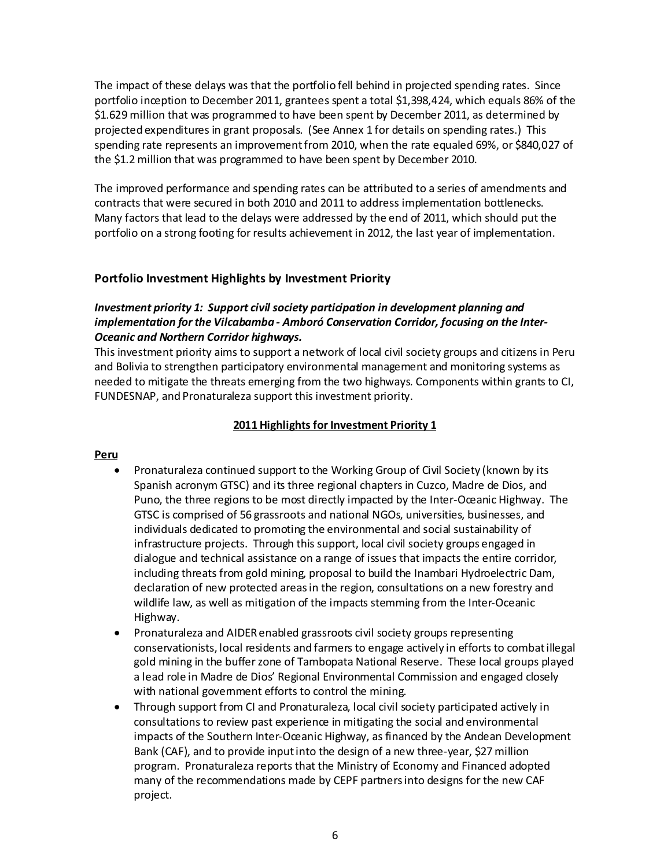The impact of these delays was that the portfolio fell behind in projected spending rates. Since portfolio inception to December 2011, grantees spent a total \$1,398,424, which equals 86% of the \$1.629 million that was programmed to have been spent by December 2011, as determined by projected expenditures in grant proposals. (See Annex 1 for details on spending rates.) This spending rate represents an improvement from 2010, when the rate equaled 69%, or \$840,027 of the \$1.2 million that was programmed to have been spent by December 2010.

The improved performance and spending rates can be attributed to a series of amendments and contracts that were secured in both 2010 and 2011 to address implementation bottlenecks. Many factors that lead to the delays were addressed by the end of 2011, which should put the portfolio on a strong footing for results achievement in 2012, the last year of implementation.

### **Portfolio Investment Highlights by Investment Priority**

### *Investment priority 1: Support civil society participation in development planning and implementation for the Vilcabamba - Amboró Conservation Corridor, focusing on the Inter-Oceanic and Northern Corridor highways.*

This investment priority aims to support a network of local civil society groups and citizens in Peru and Bolivia to strengthen participatory environmental management and monitoring systems as needed to mitigate the threats emerging from the two highways. Components within grants to CI, FUNDESNAP, and Pronaturaleza support this investment priority.

### **2011 Highlights for Investment Priority 1**

#### **Peru**

- Pronaturaleza continued support to the Working Group of Civil Society (known by its Spanish acronym GTSC) and its three regional chapters in Cuzco, Madre de Dios, and Puno, the three regions to be most directly impacted by the Inter-Oceanic Highway. The GTSC is comprised of 56 grassroots and national NGOs, universities, businesses, and individuals dedicated to promoting the environmental and social sustainability of infrastructure projects. Through this support, local civil society groups engaged in dialogue and technical assistance on a range of issues that impacts the entire corridor, including threats from gold mining, proposal to build the Inambari Hydroelectric Dam, declaration of new protected areas in the region, consultations on a new forestry and wildlife law, as well as mitigation of the impacts stemming from the Inter-Oceanic Highway.
- Pronaturaleza and AIDER enabled grassroots civil society groups representing conservationists, local residents and farmers to engage actively in efforts to combat illegal gold mining in the buffer zone of Tambopata National Reserve. These local groups played a lead role in Madre de Dios' Regional Environmental Commission and engaged closely with national government efforts to control the mining.
- Through support from CI and Pronaturaleza, local civil society participated actively in consultations to review past experience in mitigating the social and environmental impacts of the Southern Inter-Oceanic Highway, as financed by the Andean Development Bank (CAF), and to provide input into the design of a new three-year, \$27 million program. Pronaturaleza reports that the Ministry of Economy and Financed adopted many of the recommendations made by CEPF partners into designs for the new CAF project.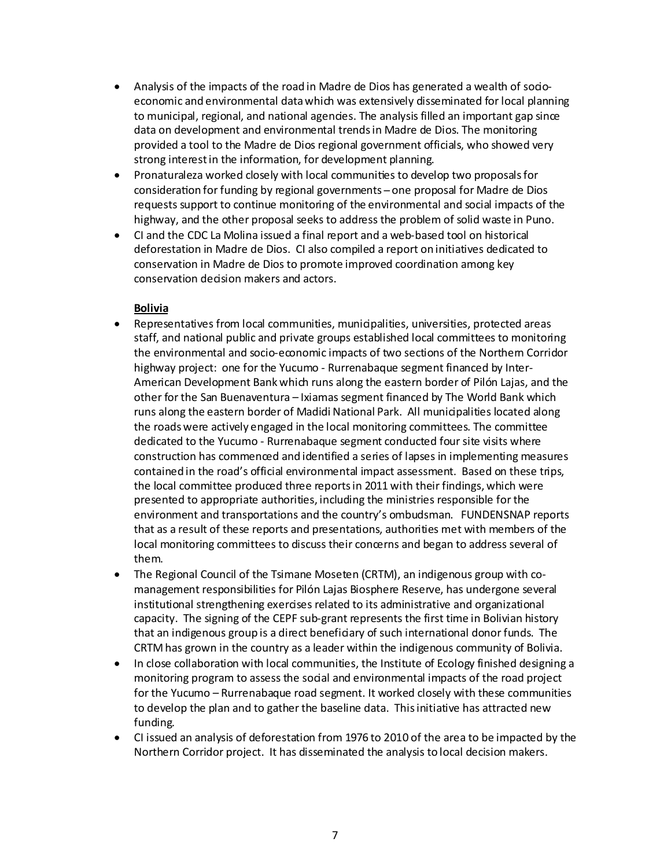- Analysis of the impacts of the road in Madre de Dios has generated a wealth of socioeconomic and environmental data which was extensively disseminated for local planning to municipal, regional, and national agencies. The analysis filled an important gap since data on development and environmental trends in Madre de Dios. The monitoring provided a tool to the Madre de Dios regional government officials, who showed very strong interest in the information, for development planning.
- Pronaturaleza worked closely with local communities to develop two proposals for consideration for funding by regional governments ̶ one proposal for Madre de Dios requests support to continue monitoring of the environmental and social impacts of the highway, and the other proposal seeks to address the problem of solid waste in Puno.
- CI and the CDC La Molina issued a final report and a web-based tool on historical deforestation in Madre de Dios. CI also compiled a report on initiatives dedicated to conservation in Madre de Dios to promote improved coordination among key conservation decision makers and actors.

#### **Bolivia**

- Representatives from local communities, municipalities, universities, protected areas staff, and national public and private groups established local committees to monitoring the environmental and socio-economic impacts of two sections of the Northern Corridor highway project: one for the Yucumo - Rurrenabaque segment financed by Inter-American Development Bank which runs along the eastern border of Pilón Lajas, and the other for the San Buenaventura – Ixiamas segment financed by The World Bank which runs along the eastern border of Madidi National Park. All municipalities located along the roadswere actively engaged in the local monitoring committees. The committee dedicated to the Yucumo - Rurrenabaque segment conducted four site visits where construction has commenced and identified a series of lapses in implementing measures contained in the road's official environmental impact assessment. Based on these trips, the local committee produced three reports in 2011 with their findings, which were presented to appropriate authorities, including the ministries responsible for the environment and transportations and the country's ombudsman. FUNDENSNAP reports that as a result of these reports and presentations, authorities met with members of the local monitoring committees to discuss their concerns and began to address several of them.
- The Regional Council of the Tsimane Moseten (CRTM), an indigenous group with comanagement responsibilities for Pilón Lajas Biosphere Reserve, has undergone several institutional strengthening exercises related to its administrative and organizational capacity. The signing of the CEPF sub-grant represents the first time in Bolivian history that an indigenous group is a direct beneficiary of such international donor funds. The CRTM has grown in the country as a leader within the indigenous community of Bolivia.
- In close collaboration with local communities, the Institute of Ecology finished designing a monitoring program to assess the social and environmental impacts of the road project for the Yucumo – Rurrenabaque road segment. It worked closely with these communities to develop the plan and to gather the baseline data. This initiative has attracted new funding.
- CI issued an analysis of deforestation from 1976 to 2010 of the area to be impacted by the Northern Corridor project. It has disseminated the analysis to local decision makers.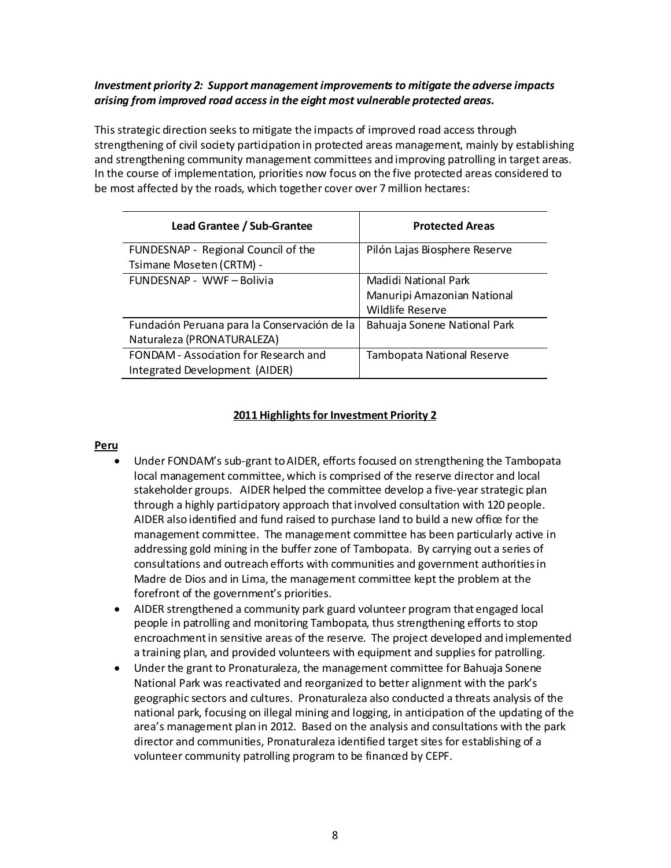### *Investment priority 2: Support management improvements to mitigate the adverse impacts arising from improved road access in the eight most vulnerable protected areas.*

This strategic direction seeks to mitigate the impacts of improved road access through strengthening of civil society participation in protected areas management, mainly by establishing and strengthening community management committees and improving patrolling in target areas. In the course of implementation, priorities now focus on the five protected areas considered to be most affected by the roads, which together cover over 7 million hectares:

| Lead Grantee / Sub-Grantee                   | <b>Protected Areas</b>        |
|----------------------------------------------|-------------------------------|
| FUNDESNAP - Regional Council of the          | Pilón Lajas Biosphere Reserve |
| Tsimane Moseten (CRTM) -                     |                               |
| FUNDESNAP - WWF-Bolivia                      | Madidi National Park          |
|                                              | Manuripi Amazonian National   |
|                                              | Wildlife Reserve              |
| Fundación Peruana para la Conservación de la | Bahuaja Sonene National Park  |
| Naturaleza (PRONATURALEZA)                   |                               |
| FONDAM - Association for Research and        | Tambopata National Reserve    |
| Integrated Development (AIDER)               |                               |

### **2011 Highlights for Investment Priority 2**

#### **Peru**

- Under FONDAM's sub-grant to AIDER, efforts focused on strengthening the Tambopata local management committee, which is comprised of the reserve director and local stakeholder groups. AIDER helped the committee develop a five-year strategic plan through a highly participatory approach that involved consultation with 120 people. AIDER also identified and fund raised to purchase land to build a new office for the management committee. The management committee has been particularly active in addressing gold mining in the buffer zone of Tambopata. By carrying out a series of consultations and outreach efforts with communities and government authorities in Madre de Dios and in Lima, the management committee kept the problem at the forefront of the government's priorities.
- AIDER strengthened a community park guard volunteer program that engaged local people in patrolling and monitoring Tambopata, thus strengthening efforts to stop encroachment in sensitive areas of the reserve. The project developed and implemented a training plan, and provided volunteers with equipment and supplies for patrolling.
- Under the grant to Pronaturaleza, the management committee for Bahuaja Sonene National Park was reactivated and reorganized to better alignment with the park's geographic sectors and cultures. Pronaturaleza also conducted a threats analysis of the national park, focusing on illegal mining and logging, in anticipation of the updating of the area's management plan in 2012. Based on the analysis and consultations with the park director and communities, Pronaturaleza identified target sites for establishing of a volunteer community patrolling program to be financed by CEPF.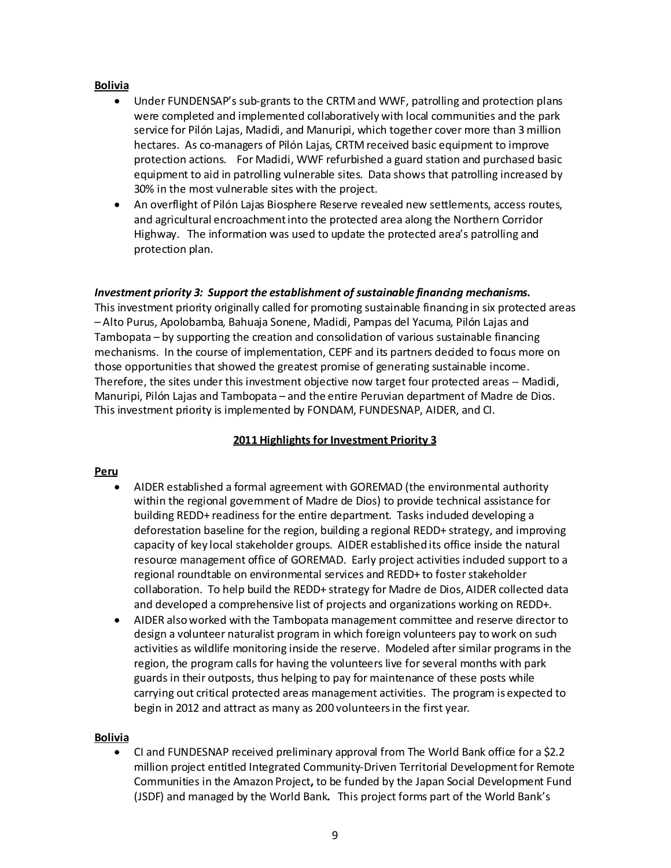#### **Bolivia**

- Under FUNDENSAP's sub-grants to the CRTM and WWF, patrolling and protection plans were completed and implemented collaboratively with local communities and the park service for Pilón Lajas, Madidi, and Manuripi, which together cover more than 3 million hectares. As co-managers of Pilón Lajas, CRTM received basic equipment to improve protection actions. For Madidi, WWF refurbished a guard station and purchased basic equipment to aid in patrolling vulnerable sites. Data shows that patrolling increased by 30% in the most vulnerable sites with the project.
- An overflight of Pilón Lajas Biosphere Reserve revealed new settlements, access routes, and agricultural encroachment into the protected area along the Northern Corridor Highway. The information was used to update the protected area's patrolling and protection plan.

#### *Investment priority 3: Support the establishment of sustainable financing mechanisms.*

This investment priority originally called for promoting sustainable financing in six protected areas – Alto Purus, Apolobamba, Bahuaja Sonene, Madidi, Pampas del Yacuma, Pilón Lajas and Tambopata – by supporting the creation and consolidation of various sustainable financing mechanisms. In the course of implementation, CEPF and its partners decided to focus more on those opportunities that showed the greatest promise of generating sustainable income. Therefore, the sites under this investment objective now target four protected areas -- Madidi, Manuripi, Pilón Lajas and Tambopata – and the entire Peruvian department of Madre de Dios. This investment priority is implemented by FONDAM, FUNDESNAP, AIDER, and CI.

### **2011 Highlights for Investment Priority 3**

#### **Peru**

- AIDER established a formal agreement with GOREMAD (the environmental authority within the regional government of Madre de Dios) to provide technical assistance for building REDD+ readiness for the entire department. Tasks induded developing a deforestation baseline for the region, building a regional REDD+ strategy, and improving capacity of key local stakeholder groups. AIDER established its office inside the natural resource management office of GOREMAD. Early project activities induded support to a regional roundtable on environmental services and REDD+ to foster stakeholder collaboration. To help build the REDD+ strategy for Madre de Dios, AIDER collected data and developed a comprehensive list of projects and organizations working on REDD+.
- AIDER also worked with the Tambopata management committee and reserve director to design a volunteer naturalist program in which foreign volunteers pay to work on such activities as wildlife monitoring inside the reserve. Modeled after similar programs in the region, the program calls for having the volunteers live for several months with park guards in their outposts, thus helping to pay for maintenance of these posts while carrying out critical protected areas management activities. The program is expected to begin in 2012 and attract as many as 200 volunteersin the first year.

#### **Bolivia**

• CI and FUNDESNAP received preliminary approval from The World Bank office for a \$2.2 million project entitled Integrated Community-Driven Territorial Development for Remote Communities in the Amazon Project**,** to be funded by the Japan Social Development Fund (JSDF) and managed by the World Bank**.** This project forms part of the World Bank's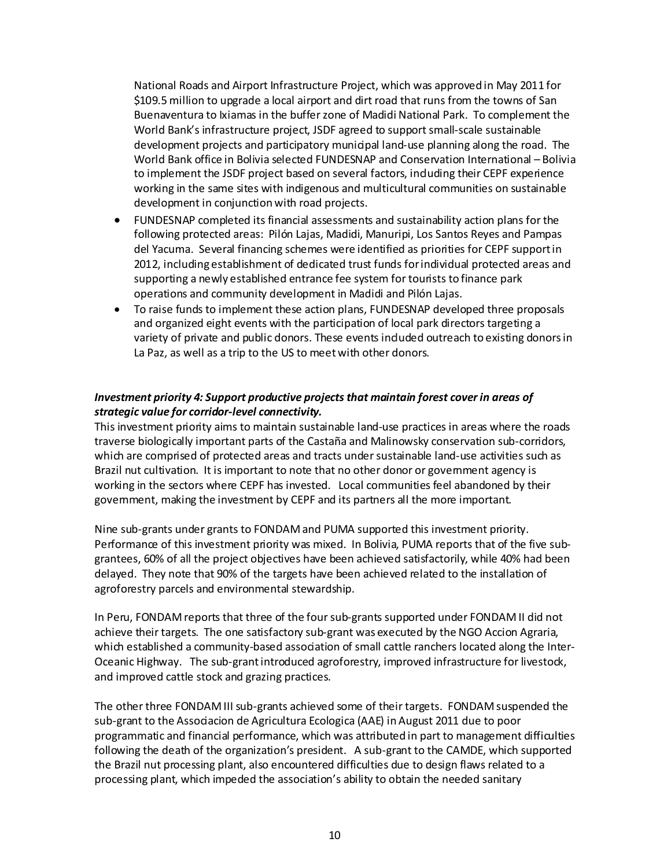National Roads and Airport Infrastructure Project, which was approved in May 2011 for \$109.5 million to upgrade a local airport and dirt road that runs from the towns of San Buenaventura to Ixiamas in the buffer zone of Madidi National Park. To complement the World Bank's infrastructure project, JSDF agreed to support small-scale sustainable development projects and participatory municipal land-use planning along the road. The World Bank office in Bolivia selected FUNDESNAP and Conservation International – Bolivia to implement the JSDF project based on several factors, induding their CEPF experience working in the same sites with indigenous and multicultural communities on sustainable development in conjunction with road projects.

- FUNDESNAP completed its financial assessments and sustainability action plans for the following protected areas: Pilón Lajas, Madidi, Manuripi, Los Santos Reyes and Pampas del Yacuma. Several financing schemes were identified as priorities for CEPF support in 2012, including establishment of dedicated trust funds for individual protected areas and supporting a newly established entrance fee system for tourists to finance park operations and community development in Madidi and Pilón Lajas.
- To raise funds to implement these action plans, FUNDESNAP developed three proposals and organized eight events with the participation of local park directors targeting a variety of private and public donors. These events induded outreach to existing donors in La Paz, as well as a trip to the US to meet with other donors.

### *Investment priority 4: Support productive projects that maintain forest cover in areas of strategic value for corridor-level connectivity.*

This investment priority aims to maintain sustainable land-use practices in areas where the roads traverse biologically important parts of the Castaña and Malinowsky conservation sub-corridors, which are comprised of protected areas and tracts under sustainable land-use activities such as Brazil nut cultivation. It is important to note that no other donor or government agency is working in the sectors where CEPF has invested. Local communities feel abandoned by their government, making the investment by CEPF and its partners all the more important.

Nine sub-grants under grants to FONDAM and PUMA supported this investment priority. Performance of this investment priority was mixed. In Bolivia, PUMA reports that of the five subgrantees, 60% of all the project objectives have been achieved satisfactorily, while 40% had been delayed. They note that 90% of the targets have been achieved related to the installation of agroforestry parcels and environmental stewardship.

In Peru, FONDAM reports that three of the four sub-grants supported under FONDAM II did not achieve their targets. The one satisfactory sub-grant was executed by the NGO Accion Agraria, which established a community-based association of small cattle ranchers located along the Inter-Oceanic Highway. The sub-grant introduced agroforestry, improved infrastructure for livestock, and improved cattle stock and grazing practices.

The other three FONDAM III sub-grants achieved some of their targets. FONDAM suspended the sub-grant to the Associacion de Agricultura Ecologica (AAE) in August 2011 due to poor programmatic and financial performance, which was attributed in part to management difficulties following the death of the organization's president. A sub-grant to the CAMDE, which supported the Brazil nut processing plant, also encountered difficulties due to design flaws related to a processing plant, which impeded the association's ability to obtain the needed sanitary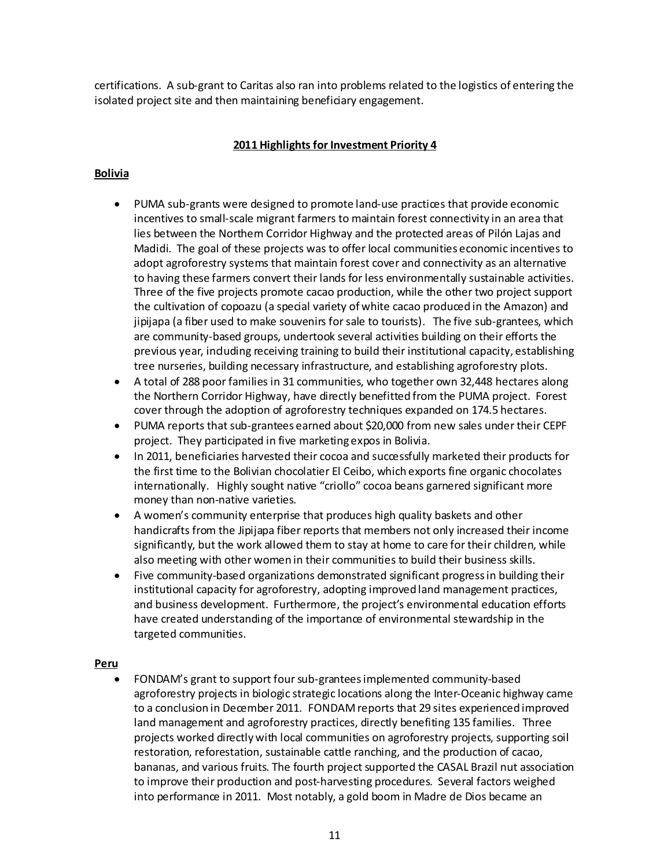certifications. A sub-grant to Caritas also ran into problems related to the logistics of entering the isolated project site and then maintaining beneficiary engagement.

### **2011 Highlights for Investment Priority 4**

### **Bolivia**

- PUMA sub-grants were designed to promote land-use practices that provide economic incentives to small-scale migrant farmers to maintain forest connectivity in an area that lies between the Northern Corridor Highway and the protected areas of Pilón Lajas and Madidi. The goal of these projects was to offer local communities economic incentives to adopt agroforestry systems that maintain forest cover and connectivity as an alternative to having these farmers convert their lands for less environmentally sustainable activities. Three of the five projects promote cacao production, while the other two project support the cultivation of copoazu (a special variety of white cacao produced in the Amazon) and jipijapa (a fiber used to make souvenirs for sale to tourists). The five sub-grantees, which are community-based groups, undertook several activities building on their efforts the previous year, including receiving training to build their institutional capacity, establishing tree nurseries, building necessary infrastructure, and establishing agroforestry plots.
- A total of 288 poor families in 31 communities, who together own 32,448 hectares along the Northern Corridor Highway, have directly benefitted from the PUMA project. Forest cover through the adoption of agroforestry techniques expanded on 174.5 hectares.
- PUMA reports that sub-grantees earned about \$20,000 from new sales under their CEPF project. They participated in five marketing expos in Bolivia.
- In 2011, beneficiaries harvested their cocoa and successfully marketed their products for the first time to the Bolivian chocolatier El Ceibo, which exports fine organic chocolates internationally. Highly sought native "criollo" cocoa beans garnered significant more money than non-native varieties.
- A women's community enterprise that produces high quality baskets and other handicrafts from the Jipijapa fiber reports that members not only increased their income significantly, but the work allowed them to stay at home to care for their children, while also meeting with other women in their communities to build their business skills.
- Five community-based organizations demonstrated significant progress in building their institutional capacity for agroforestry, adopting improved land management practices, and business development. Furthermore, the project's environmental education efforts have created understanding of the importance of environmental stewardship in the targeted communities.

#### **Peru**

• FONDAM's grant to support four sub-grantees implemented community-based agroforestry projects in biologic strategic locations along the Inter-Oceanic highway came to a conclusion in December 2011. FONDAM reports that 29 sites experienced improved land management and agroforestry practices, directly benefiting 135 families. Three projects worked directly with local communities on agroforestry projects, supporting soil restoration, reforestation, sustainable cattle ranching, and the production of cacao, bananas, and various fruits. The fourth project supported the CASAL Brazil nut association to improve their production and post-harvesting procedures. Several factors weighed into performance in 2011. Most notably, a gold boom in Madre de Dios became an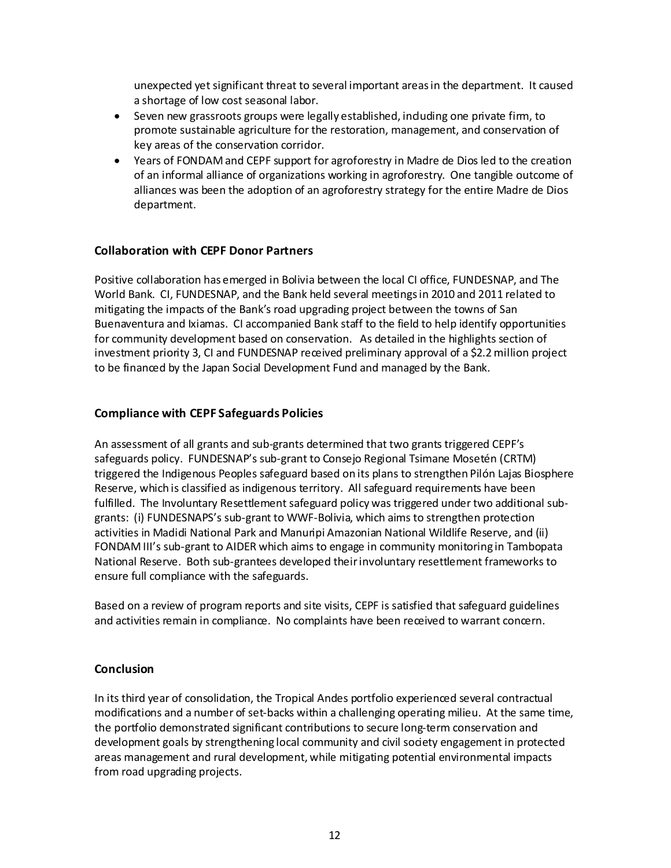unexpected yet significant threat to several important areas in the department. It caused a shortage of low cost seasonal labor.

- Seven new grassroots groups were legally established, induding one private firm, to promote sustainable agriculture for the restoration, management, and conservation of key areas of the conservation corridor.
- Years of FONDAM and CEPF support for agroforestry in Madre de Dios led to the creation of an informal alliance of organizations working in agroforestry. One tangible outcome of alliances was been the adoption of an agroforestry strategy for the entire Madre de Dios department.

## **Collaboration with CEPF Donor Partners**

Positive collaboration has emerged in Bolivia between the local CI office, FUNDESNAP, and The World Bank. CI, FUNDESNAP, and the Bank held several meetings in 2010 and 2011 related to mitigating the impacts of the Bank's road upgrading project between the towns of San Buenaventura and Ixiamas. CI accompanied Bank staff to the field to help identify opportunities for community development based on conservation. As detailed in the highlights section of investment priority 3, CI and FUNDESNAP received preliminary approval of a \$2.2 million project to be financed by the Japan Social Development Fund and managed by the Bank.

# **Compliance with CEPF Safeguards Policies**

An assessment of all grants and sub-grants determined that two grants triggered CEPF's safeguards policy. FUNDESNAP's sub-grant to Consejo Regional Tsimane Mosetén (CRTM) triggered the Indigenous Peoples safeguard based on its plans to strengthen Pilón Lajas Biosphere Reserve, which is classified as indigenous territory. All safeguard requirements have been fulfilled. The Involuntary Resettlement safeguard policy was triggered under two additional subgrants: (i) FUNDESNAPS's sub-grant to WWF-Bolivia, which aims to strengthen protection activities in Madidi National Park and Manuripi Amazonian National Wildlife Reserve, and (ii) FONDAM III's sub-grant to AIDER which aims to engage in community monitoring in Tambopata National Reserve. Both sub-grantees developed their involuntary resettlement frameworks to ensure full compliance with the safeguards.

Based on a review of program reports and site visits, CEPF is satisfied that safeguard guidelines and activities remain in compliance. No complaints have been received to warrant concern.

### **Conclusion**

In its third year of consolidation, the Tropical Andes portfolio experienced several contractual modifications and a number of set-backs within a challenging operating milieu. At the same time, the portfolio demonstrated significant contributions to secure long-term conservation and development goals by strengthening local community and civil society engagement in protected areas management and rural development, while mitigating potential environmental impacts from road upgrading projects.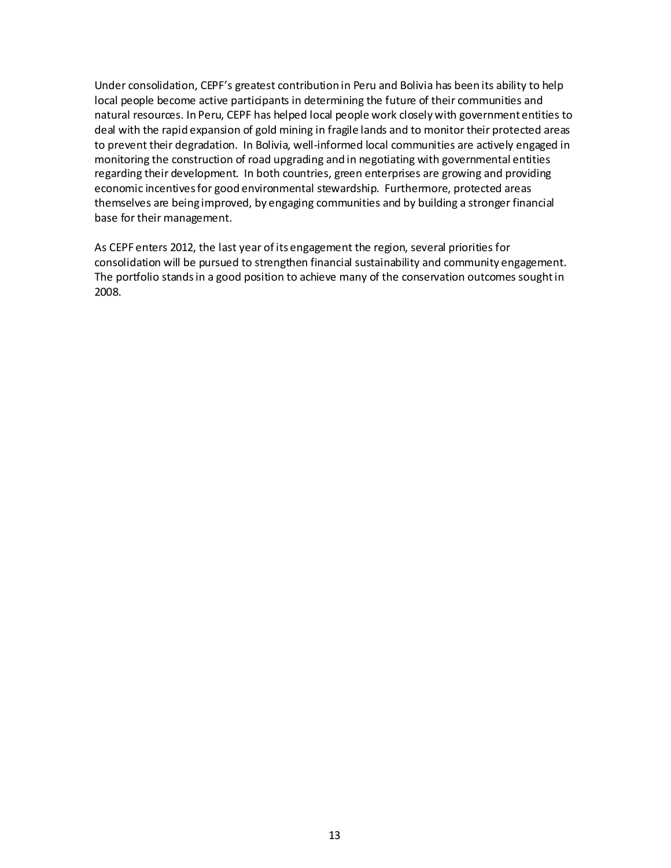Under consolidation, CEPF's greatest contribution in Peru and Bolivia has been its ability to help local people become active participants in determining the future of their communities and natural resources. In Peru, CEPF has helped local people work closely with government entities to deal with the rapid expansion of gold mining in fragile lands and to monitor their protected areas to prevent their degradation. In Bolivia, well-informed local communities are actively engaged in monitoring the construction of road upgrading and in negotiating with governmental entities regarding their development. In both countries, green enterprises are growing and providing economic incentives for good environmental stewardship. Furthermore, protected areas themselves are being improved, by engaging communities and by building a stronger financial base for their management.

As CEPF enters 2012, the last year of its engagement the region, several priorities for consolidation will be pursued to strengthen financial sustainability and community engagement. The portfolio stands in a good position to achieve many of the conservation outcomes sought in 2008.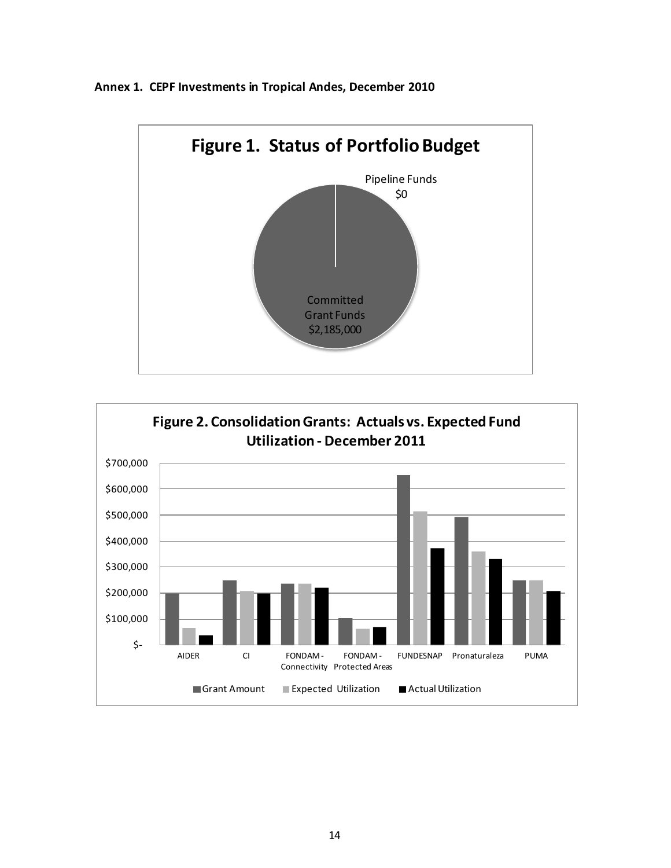**Annex 1. CEPF Investments in Tropical Andes, December 2010**



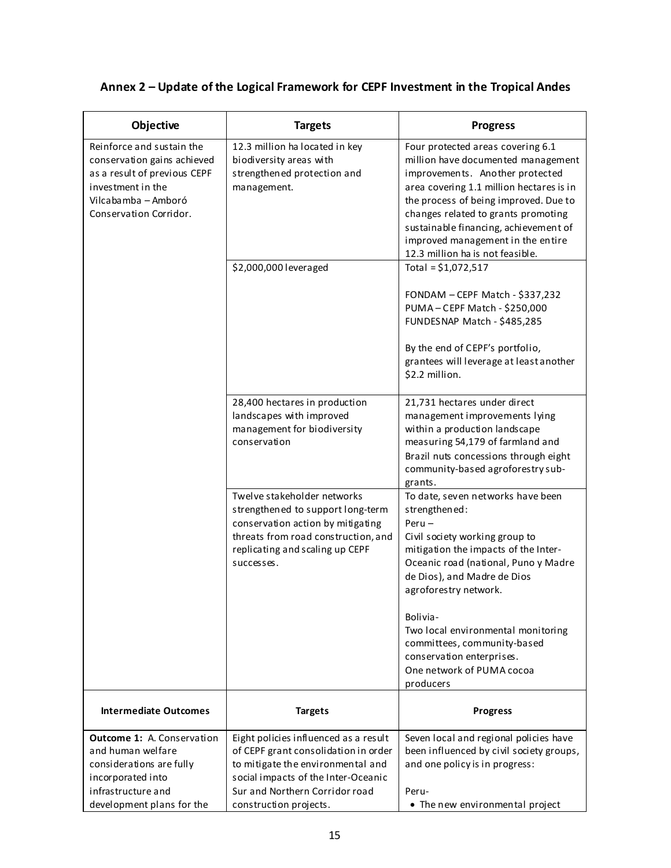#### **Objective Targets Progress** Reinforce and sustain the conservation gains achieved as a result of previous CEPF investment in the Vilcabamba – Amboró Conservation Corridor. 12.3 million ha located in key biodiversity areas with strengthened protection and management. Four protected areas covering 6.1 million have documented management improvements. Another protected area covering 1.1 million hectares is in the process of being improved. Due to changes related to grants promoting sustainable financing, achievement of improved management in the entire 12.3 million ha is not feasible. \$2,000,000 leveraged Total = \$1,072,517 FONDAM – CEPF Match - \$337,232 PUMA – CEPF Match - \$250,000 FUNDESNAP Match - \$485,285 By the end of CEPF's portfolio, grantees will leverage at least another \$2.2 million. 28,400 hectares in production landscapes with improved management for biodiversity conservation 21,731 hectares under direct management improvements lying within a production landscape measuring 54,179 of farmland and Brazil nuts concessions through eight community-based agroforestry subgrants. Twelve stakeholder networks strengthened to support long-term conservation action by mitigating threats from road construction, and replicating and scaling up CEPF successes. To date, seven networks have been strengthened: Peru – Civil society working group to mitigation the impacts of the Inter-Oceanic road (national, Puno y Madre de Dios), and Madre de Dios agroforestry network.

## **Annex 2 – Update of the Logical Framework for CEPF Investment in the Tropical Andes**

| <b>Outcome 1: A. Conservation</b> | Eight policies influenced as a result | Seven local and regional policies have   |
|-----------------------------------|---------------------------------------|------------------------------------------|
| and human welfare                 | of CEPF grant consolidation in order  | been influenced by civil society groups, |
| considerations are fully          | to mitigate the environmental and     | and one policy is in progress:           |
| incorporated into                 | social impacts of the Inter-Oceanic   |                                          |
| infrastructure and                | Sur and Northern Corridor road        | Peru-                                    |
| development plans for the         | construction projects.                | • The new environmental project          |
|                                   |                                       |                                          |

**Intermediate Outcomes Targets Progress**

Bolivia-

producers

Two local environmental monitoring committees, community-based conservation enterprises. One network of PUMA cocoa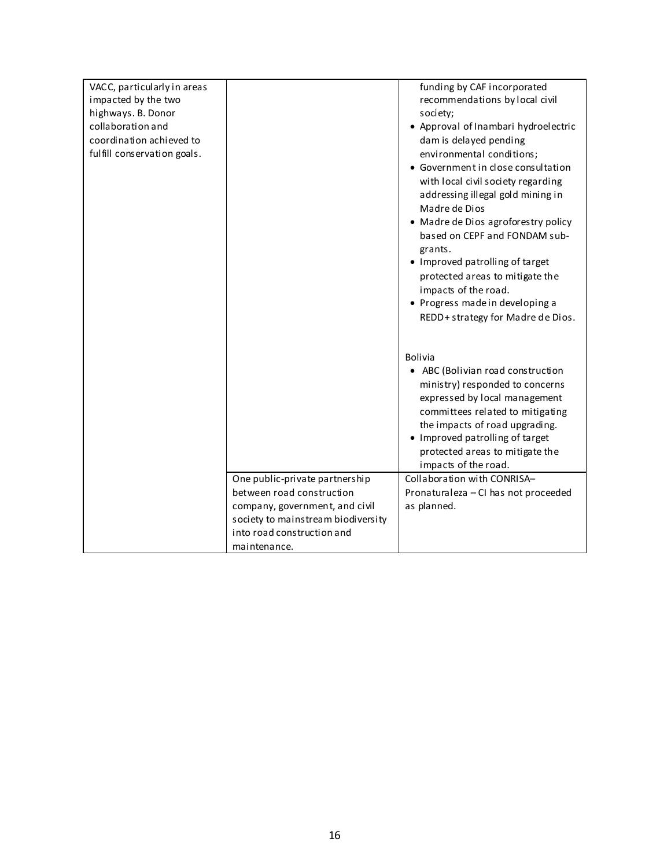| VACC, particularly in areas |                                    | funding by CAF incorporated          |
|-----------------------------|------------------------------------|--------------------------------------|
| impacted by the two         |                                    | recommendations by local civil       |
| highways. B. Donor          |                                    | society;                             |
| collaboration and           |                                    | • Approval of Inambari hydroelectric |
| coordination achieved to    |                                    | dam is delayed pending               |
| fulfill conservation goals. |                                    | environmental conditions;            |
|                             |                                    | • Government in close consultation   |
|                             |                                    | with local civil society regarding   |
|                             |                                    | addressing illegal gold mining in    |
|                             |                                    | Madre de Dios                        |
|                             |                                    | • Madre de Dios agroforestry policy  |
|                             |                                    | based on CEPF and FONDAM sub-        |
|                             |                                    | grants.                              |
|                             |                                    | • Improved patrolling of target      |
|                             |                                    | protected areas to mitigate the      |
|                             |                                    | impacts of the road.                 |
|                             |                                    | • Progress made in developing a      |
|                             |                                    | REDD+ strategy for Madre de Dios.    |
|                             |                                    |                                      |
|                             |                                    | <b>Bolivia</b>                       |
|                             |                                    | • ABC (Bolivian road construction    |
|                             |                                    | ministry) responded to concerns      |
|                             |                                    | expressed by local management        |
|                             |                                    | committees related to mitigating     |
|                             |                                    | the impacts of road upgrading.       |
|                             |                                    | • Improved patrolling of target      |
|                             |                                    | protected areas to mitigate the      |
|                             |                                    | impacts of the road.                 |
|                             | One public-private partnership     | Collaboration with CONRISA-          |
|                             | between road construction          | Pronaturaleza - CI has not proceeded |
|                             | company, government, and civil     | as planned.                          |
|                             | society to mainstream biodiversity |                                      |
|                             | into road construction and         |                                      |
|                             | maintenance.                       |                                      |